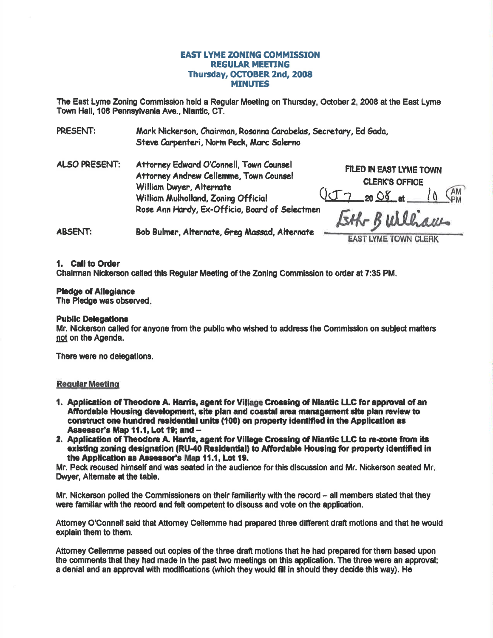## **EAST LYME ZONING COMMISSION REGULAR MEETING** Thursday, OCTOBER 2nd, 2008 **MINUTES**

The East Lyme Zoning Commission held a Regular Meeting on Thursday, October 2, 2008 at the East Lyme Town Hall. 108 Pennsylvania Ave., Niantic, CT.

PRESENT: Mark Nickerson, Chairman, Rosanna Carabelas, Secretary, Ed Gada, Steve Carpenteri, Norm Peck, Marc Salerno

**ALSO PRESENT:** Attorney Edward O'Connell, Town Counsel Attorney Andrew Cellemme, Town Counsel William Dwyer, Alternate William Mulholland, Zoning Official Rose Ann Hardy, Ex-Officio, Board of Selectmen

FILED IN EAST LYME TOWN **CLERK'S OFFICE**  $2008$  at  $10^{AM}$ 

**ABSENT:** Bob Bulmer, Alternate, Grea Massad, Alternate

**EAST LYME TOWN CLERK** 

#### 1. Call to Order

Chairman Nickerson called this Requiar Meeting of the Zoning Commission to order at 7:35 PM.

#### **Pledge of Allegiance**

The Pledge was observed.

### **Public Delegations**

Mr. Nickerson called for anyone from the public who wished to address the Commission on subject matters not on the Agenda.

There were no delegations.

#### **Regular Meeting**

- 1. Application of Theodore A. Harris, agent for Village Crossing of Niantic LLC for approval of an Affordable Housing development, site plan and coastal area management site plan review to construct one hundred residential units (100) on property identified in the Application as Assessor's Map 11.1, Lot 19; and --
- 2. Application of Theodore A. Harris, agent for Village Crossing of Niantic LLC to re-zone from its existing zoning designation (RU-40 Residential) to Affordable Housing for property identified in the Application as Assessor's Map 11.1, Lot 19.

Mr. Peck recused himself and was seated in the audience for this discussion and Mr. Nickerson seated Mr. Dwyer. Alternate at the table.

Mr. Nickerson polled the Commissioners on their familiarity with the record – all members stated that they were familiar with the record and felt competent to discuss and vote on the application.

Attorney O'Connell said that Attorney Cellemme had prepared three different draft motions and that he would explain them to them.

Attorney Cellemme passed out copies of the three draft motions that he had prepared for them based upon the comments that they had made in the past two meetings on this application. The three were an approval: a denial and an approval with modifications (which they would fill in should they decide this way). He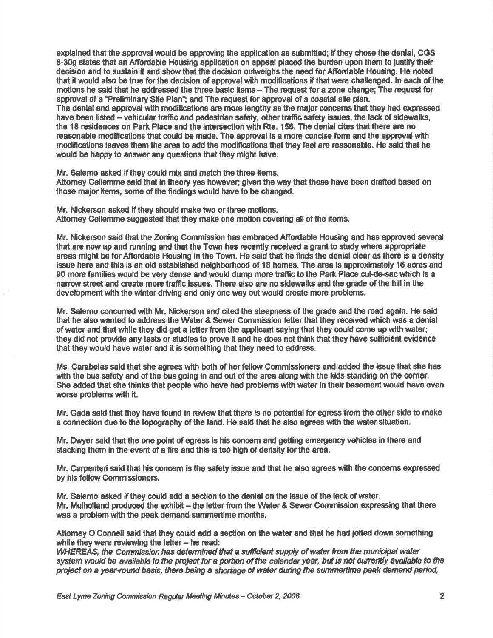explained that the approval would be approving the application as submitted; if they chose the denial, CGS 8-30g states that an Affordable Housing application on appeal placed the burden upon them to justify their decislon and to sustain fi and showthat the decision outweighs the need forAfiordable Housing. He noted that it would also be true for the decision of approval with modifications if that were challenged. In each of the motions he said that he addressed the three basic items  $-$  The request for a zone change; The request for approval of a "Preliminary Site Plan"; and The request for approval of a coastal site plan. The denial and approval with modifications are more lengthy as the major concerns that they had expressed have been listed - vehicular traffic and pedestrian safety, other traffic safety issues, the lack of sidewalks, the 18 residences on Park Place and the intersection with Rte. 156. The denial cites that there are no reasonable modifications that could be made. The approval is a more concise form and the approval with modifications leaves them the area to add the modifications that they feel are reasonable. He said that he would be happy to answer any questions that they might have.

Mr. Salemo asked if they could mix and match the three items.

Attomey Cellemme said that in theory yes however; given the way that these have been drafied based on those major items, some of the findings would have to be changed.

Mr. Nickerson asked if they should make two or three motions. Attomey Cellemme suggested that they make one motion covering all of the items.

Mr. Nickerson said that the Zoning Commission has embraced Affordable Housing and has approved several that are now up and running and that the Town has recently received a grant to study where appropriate areas might be for Affordable Housing in the Town. He said that he finds the denial clear as there is a density issue here and this is an old established neighborhood of 18 homes. The area is approximately 16 acres and 90 more families would be very dense and would dump more traffic to the Park Place cul-de-sac which is a narrow street and create more traffic issues. There also are no sidewalks and the grade of the hill in the development with the winter driving and only one way out would create more problems.

Mr. Salemo concuned wlth Mr. Nickerson and cited the steepness of the grade and the road again. He said that he also wanted to address the Water & Sewer Commission letter that they received which was a denial of water and that while they did get a letter from the applicant saying that they could come up with water: they did not provide any tests or studies to prove it and he does not think that they have sufficient evidence that they would have water and it is something that they need to address.

Ms. Carabelas said that she agrees with both of herfellow Commissioners and added the issue that she has with the bus safety and of the bus going in and out of the area along with the kids standing on the comer. She edded thet she thinks that people who have had problems with water in their basement would have even worse problems with it.

Mr. Gada said that they have found in review that there is no potential for egress from the other side to make a connedion due to the topography of the land. He sald that he also egrees with the water situetion.

Mr. Dwyer said that the one point of egress is his concern and getting emergency vehicles in there and stacking them in the event of a fire and this is too high of density for the area.

Mr. Carpenteri said that his concem is the safety issue and that he also agrees with the concems expressed by his fellow Commissioners.

Mr. Salemo asked if they could add a sedion to the denial on the issue of the lack of water. Mr. Mulholland produced the exhibit - the letter from the Water & Sewer Commission expressing that there was a problem with the peak demand summertime months.

Attorney O'Connell said that they could add a section on the water and that he had jotted down something while they were reviewing the letter  $-$  he read:

WHEREAS, the Commission has determined that a sufficient supply of water from the municipal water system would be available to the project for a portion of the calendar year, but is not currently available to the project on a year-round basis, there being a shortage of water during the summertime peak demand period,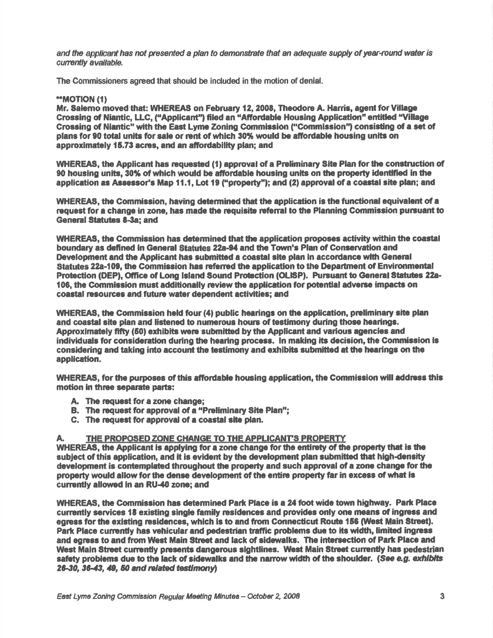and the applicant has not presented a plan to demonstrate that an adequate supply of year-round water is currently available.

The Commissioners agreed that should be included in the motion of denial.

#### \*\*MOTION (1)

Mr. Salemo moved that: WHEREAS on February 12, 2008, Theodore A. Harris, agent for Village Crossing of Niantic, LLC. ("Applicant") filed an "Affordable Housing Application" entitled "Village Crossing of Niantic" with the East Lyme Zoning Commission ("Commission") consisting of a set of plans for 90 total units for sale or rent of which 30% would be affordable housing units on approximately 15.73 acres, and an affordability plan; and

WHEREAS, the Applicant has requested (1) approval of a Preliminary Site Plan for the construction of 90 housing units, 30% of which would be affordable housing units on the property identified in the application as Assessor's Map 11.1. Lot 19 ("property"); and (2) approval of a coastal site plan; and

WHEREAS, the Commission, having determined that the application is the functional equivalent of a request for a change in zone, has made the requisite referral to the Planning Commission pursuant to **General Statutes 8-3a: and** 

WHEREAS, the Commission has determined that the application proposes activity within the coastal boundary as defined in General Statutes 22a-94 and the Town's Plan of Conservation and Development and the Applicant has submitted a coastal site plan in accordance with General Statutes 22a-109, the Commission has referred the application to the Department of Environmental Protection (DEP), Office of Long Island Sound Protection (OLISP). Pursuant to General Statutes 22a-106, the Commission must additionally review the application for potential adverse impacts on coastal resources and future water dependent activities; and

WHEREAS, the Commission held four (4) public hearings on the application, preliminary site plan and coastal site plan and listened to numerous hours of testimony during those hearings. Approximately fifty (50) exhibits were submitted by the Applicant and various agencies and individuals for consideration during the hearing process. In making its decision, the Commission is considering and taking into account the testimony and exhibits submitted at the hearings on the application.

WHEREAS, for the purposes of this affordable housing application, the Commission will address this motion in three separate parts:

- A. The request for a zone change:
- B. The request for approval of a "Preliminary Site Plan":
- C. The request for approval of a coastal site plan.

#### THE PROPOSED ZONE CHANGE TO THE APPLICANT'S PROPERTY A.

WHEREAS, the Applicant is applying for a zone change for the entirety of the property that is the subject of this application, and it is evident by the development plan submitted that high-density development is contemplated throughout the property and such approval of a zone change for the property would allow for the dense development of the entire property far in excess of what is currently allowed in an RU-40 zone; and

WHEREAS, the Commission has determined Park Place is a 24 foot wide town highway. Park Place currently services 18 existing single family residences and provides only one means of ingress and egress for the existing residences, which is to and from Connecticut Route 156 (West Main Street). Park Place currently has vehicular and pedestrian traffic problems due to its width, limited ingress and egress to and from West Main Street and lack of sidewalks. The intersection of Park Place and West Main Street currently presents dangerous sightlines. West Main Street currently has pedestrian safety problems due to the lack of sidewalks and the narrow width of the shoulder. (See e.g. exhibits 26-30, 36-43, 49, 50 and related testimony)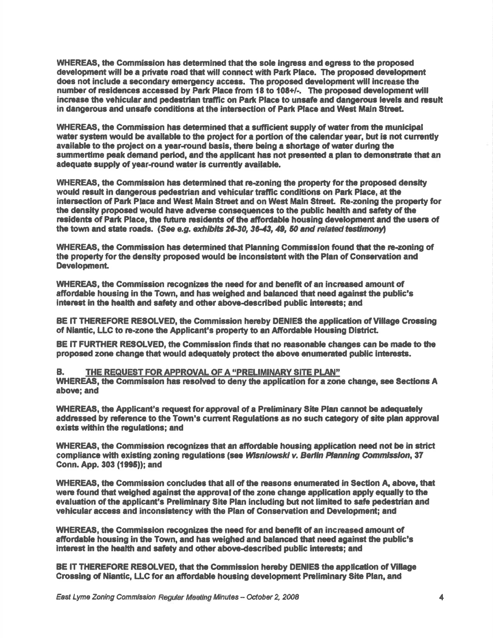WHEREAS, the Commission has determined that the sole ingress and egress to the proposed development will be a private road that will connect with Park Place. The proposed development does not include a secondary emergency access. The proposed development will increase the number of residences accessed by Park Place from 18 to 108+/-. The proposed development will increase the vehicular and pedestrian traffic on Park Place to unsafe and dangerous levels and result in dangerous and unsafe conditions at the intersection of Park Place and West Main Street.

WHEREAS, the Commission has determined that a sufficient supply of water from the municipal water system would be available to the project for a portion of the calendar year, but is not currently available to the project on a year-round basis, there being a shortage of water during the summertime peak demand period, and the applicant has not presented a plan to demonstrate that an adequate supply of year-round water is currently available.

WHEREAS, the Commission has determined that re-zoning the property for the proposed density would result in dangerous pedestrian and vehicular traffic conditions on Park Place, at the intersection of Park Place and West Main Street and on West Main Street. Re-zoning the property for the density proposed would have adverse consequences to the public health and safety of the residents of Park Place, the future residents of the affordable housing development and the users of the town and state roads. (See e.g. exhibits 26-30, 36-43, 49, 50 and related testimony)

WHEREAS, the Commission has determined that Planning Commission found that the re-zoning of the property for the density proposed would be inconsistent with the Plan of Conservation and Development.

WHEREAS, the Commission recognizes the need for and benefit of an increased amount of affordable housing in the Town, and has weighed and balanced that need against the public's interest in the health and safety and other above-described public interests; and

BE IT THEREFORE RESOLVED, the Commission hereby DENIES the application of Village Crossing of Niantic. LLC to re-zone the Applicant's property to an Affordable Housing District.

BE IT FURTHER RESOLVED, the Commission finds that no reasonable changes can be made to the proposed zone change that would adequately protect the above enumerated public interests.

В. THE REQUEST FOR APPROVAL OF A "PRELIMINARY SITE PLAN"

WHEREAS, the Commission has resolved to deny the application for a zone change, see Sections A above; and

WHEREAS, the Applicant's request for approval of a Preliminary Site Plan cannot be adequately addressed by reference to the Town's current Requiations as no such category of site plan approval exists within the requlations: and

WHEREAS, the Commission recognizes that an affordable housing application need not be in strict compliance with existing zoning regulations (see Wisniowski v. Berlin Planning Commission, 37 Conn. App. 303 (1995)); and

WHEREAS, the Commission concludes that all of the reasons enumerated in Section A, above, that were found that weighed against the approval of the zone change application apply equally to the evaluation of the applicant's Preliminary Site Plan including but not limited to safe pedestrian and vehicular access and inconsistency with the Plan of Conservation and Development: and

WHEREAS, the Commission recognizes the need for and benefit of an increased amount of affordable housing in the Town, and has weighed and balanced that need against the public's interest in the health and safety and other above-described public interests; and

BE IT THEREFORE RESOLVED, that the Commission hereby DENIES the application of Village Crossing of Niantic, LLC for an affordable housing development Preliminary Site Plan, and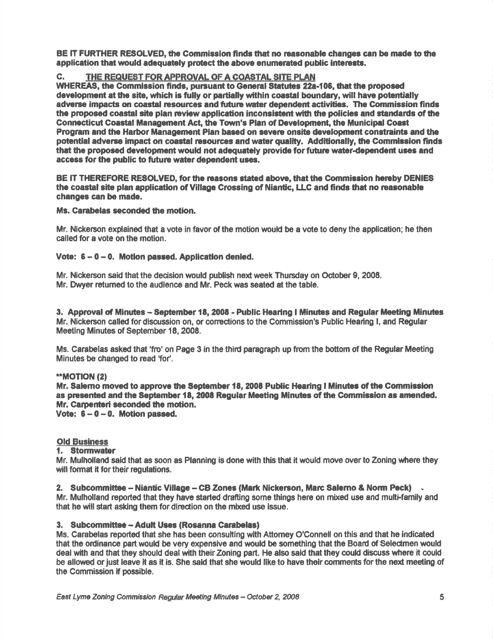BE IT FURTHER RESOLVED, the Commission finds that no reasonable changes can be made to the application that would adequately protect the above enumerated public interests.

# C. THE REQUEST FOR APPROVAL OF A COASTAL SITE PLAN

WHEREAS, the Commission finds, pursuant to General Statutes 22a-106, that the proposed development at the site, which is fully or partially within coastal boundary, will have potentially adverse impacts on coastal resources and future water dependent activities. The Commission finds the proposed coastal site plan review application inconsistent with the policies and standards of the Connecticut Coastal Management Act, the Town's Plan of Development, the Municipal Coast Program and the Harbor Management Plan based on severe onsite development constraints and the potential adverse impact on coastal resources and water quality. Additionally, the Commission finds that the proposed development would not adequately provide for future water-dependent uses and access for the public to future water dependent uses.

BE IT THEREFORE RESOLVED, for the reasons stated above, that the Commission hereby DENIES the coastal site plan application of Village Crossing of Niantic, LLC and finds that no reasonable changes can be made.

#### Ms. Carabelas seconded the motion.

Mr. Nickerson explained that a vote in favor of the motion would be a vote to deny the application; he then called for a vote on the motion.

#### Vote:  $6 - 0 - 0$ . Motion passed. Application denied.

Mr. Nickerson said that the decision would publish next week Thursday on October 9, 2008. Mr. Dwyer returned to the audience and Mr. Peck was seated at the table.

3. Approval of Minutes -- September 18, 2008 - Public Hearing I Minutes and Regular Meeting Minutes Mr. Nickerson called for discussion on, or corrections to the Commission's Public Hearing I, and Regular Meetlng Minutes of September 18,2008.

Ms. Carabelas asked that 'fio' on Page 3 in the third paragraph up from the bottom of the Regular Meeting Minutes be changed to read 'for'.

#### \*\*MOTION (2)

Mr. Salemo moved to approve the September 18, 2008 Public Hearing I Minutes of the Commission as presented and the September 18, 2008 Regular Meeting Minutes of the Commission as amended. Mr. Carpenteri seconded the motion.

Vote:  $6-0-0$ . Motion passed.

#### Old Business

#### 1. Stormwater

Mr. Mulholland said that as soon as Planning is done with this that it would move over to Zoning where they will format it for their regulations.

2. Subcommittee - Niantic Village - CB Zones (Mark Nickerson, Marc Salerno & Norm Peck) . Mr. Mulholland reported that they have started drafting some things here on mixed use and multi-family and that he will start asking them for direction on the mixed use issue.

#### 3. Subcommittee - Adult Uses (Rosanna Carabelas)

Ms. Canabelas reported that she has been consulting with Aftomey O'Connell on thls and that he indicated that the ordinance part would be very expensive and would be something that the Board of Selectmen would deal with and that they should deal with their Zoning part. He also said that they could discuss where it could be allowed or just leave it as it is. She said that she would like to have their comments for the next meeting of the Commission if possible.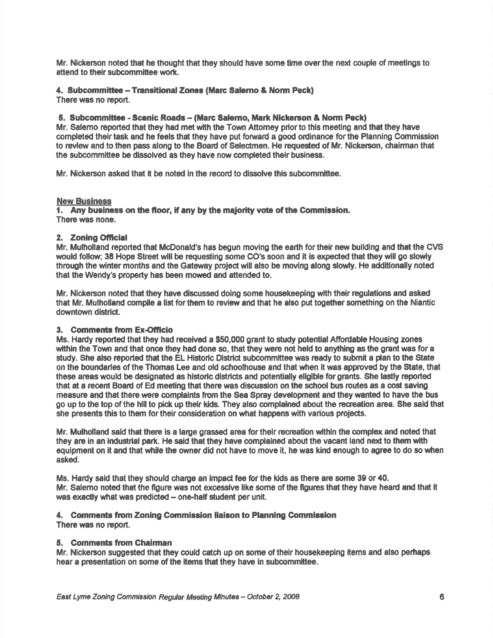Mr. Nickerson noted that he thought that they should have some time over the next couple of meetings to attend to their subcommittee work.

# 4. Subcommittee - Transitional Zones (Marc Salemo & Norm Peck)

There was no report.

## 5. Subcommittee - Scenic Roads - (Marc Salemo, Mark Nickerson & Norm Peck)

Mr. Salemo reported that they had met with the Town Attorney prior to this meeting and that they have completed their task and he feels that they have put forward a good ordinance for the Planning Commission to review and to then pass along to the Board of Selectmen. He requested of Mr. Nickerson, chairman that the subcommittee be dissolved as they have now completed their business.

Mr. Nickerson asked that it be noted in the record to dissolve this subcommittee.

#### **New Business**

1. Any business on the floor, if any by the majority vote of the Commission. There was none.

#### 2. Zoning Official

Mr. Mulholland reported that McDonald's has begun moving the earth for their new building and that the CVS would follow; 38 Hope Street will be requesting some CO's soon and it is expected that they will go slowly through the winter months and the Gateway project will also be moving along slowly. He additionally noted that the Wendy's property has been mowed and attended to.

Mr. Nickerson noted that they have discussed doing some housekeeping with their regulations and asked that Mr. Mulholland compile a list for them to review and that he also put together something on the Niantic downtown district.

#### 3. Comments from Ex-Officio

Ms. Hardy reported that they had received a \$50,000 grant to study potential Affordable Housing zones within the Town and that once they had done so, that they were not held to anything as the grant was for a study. She also reported that the EL Historic District subcommittee was ready to submit a plan to the State on the boundaries of the Thomas Lee and old schoolhouse and that when it was approved by the State, that these areas would be designated as historic districts and potentially eligible for grants. She lastly reported that at a recent Board of Ed meeting that there was discussion on the school bus routes as a cost saving measure and that there were complaints from the Sea Spray development and they wanted to have the bus go up to the top of the hill to pick up their kids. They also complained about the recreation area. She said that she presents this to them for their consideration on what happens with various projects.

Mr. Mulholland said that there is a large grassed area for their recreation within the complex and noted that they are in an industrial park. He said that they have complained about the vacant land next to them with equipment on it and that while the owner did not have to move it, he was kind enough to agree to do so when asked.

Ms. Hardy said that they should charge an impact fee for the kids as there are some 39 or 40. Mr. Salemo noted that the figure was not excessive like some of the figures that they have heard and that it was exactly what was predicted - one-half student per unit.

# 4. Comments from Zoning Commission liaison to Planning Commission

There was no report.

#### 5. Comments from Chairman

Mr. Nickerson suggested that they could catch up on some of their housekeeping items and also perhaps hear a presentation on some of the items that they have in subcommittee.